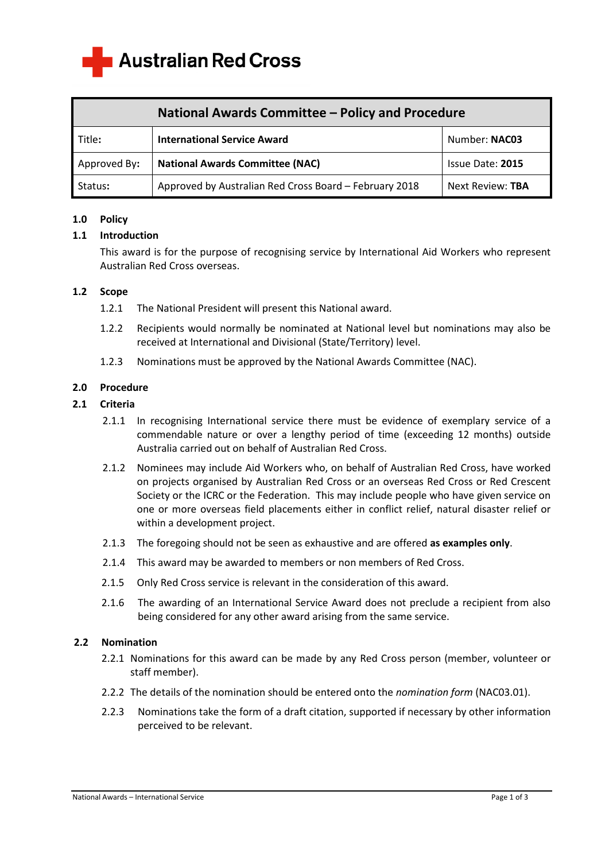

| <b>National Awards Committee - Policy and Procedure</b> |                                                        |                  |  |
|---------------------------------------------------------|--------------------------------------------------------|------------------|--|
| Title:                                                  | <b>International Service Award</b>                     | Number: NAC03    |  |
| Approved By:                                            | <b>National Awards Committee (NAC)</b>                 | Issue Date: 2015 |  |
| Status:                                                 | Approved by Australian Red Cross Board - February 2018 | Next Review: TBA |  |

### **1.0 Policy**

### **1.1 Introduction**

 This award is for the purpose of recognising service by International Aid Workers who represent Australian Red Cross overseas.

### **1.2 Scope**

- 1.2.1 The National President will present this National award.
- 1.2.2 Recipients would normally be nominated at National level but nominations may also be received at International and Divisional (State/Territory) level.
- 1.2.3 Nominations must be approved by the National Awards Committee (NAC).

### **2.0 Procedure**

### **2.1 Criteria**

- 2.1.1 In recognising International service there must be evidence of exemplary service of a commendable nature or over a lengthy period of time (exceeding 12 months) outside Australia carried out on behalf of Australian Red Cross.
- 2.1.2 Nominees may include Aid Workers who, on behalf of Australian Red Cross, have worked on projects organised by Australian Red Cross or an overseas Red Cross or Red Crescent Society or the ICRC or the Federation. This may include people who have given service on one or more overseas field placements either in conflict relief, natural disaster relief or within a development project.
- 2.1.3 The foregoing should not be seen as exhaustive and are offered **as examples only**.
- 2.1.4 This award may be awarded to members or non members of Red Cross.
- 2.1.5 Only Red Cross service is relevant in the consideration of this award.
- 2.1.6 The awarding of an International Service Award does not preclude a recipient from also being considered for any other award arising from the same service.

# **2.2 Nomination**

- 2.2.1 Nominations for this award can be made by any Red Cross person (member, volunteer or staff member).
- 2.2.2 The details of the nomination should be entered onto the *nomination form* (NAC03.01).
- 2.2.3 Nominations take the form of a draft citation, supported if necessary by other information perceived to be relevant.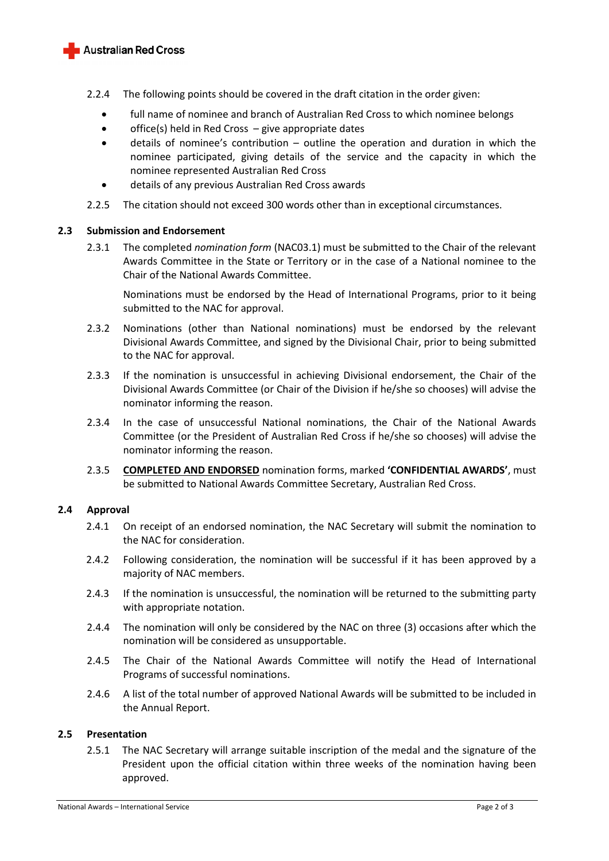

- 2.2.4 The following points should be covered in the draft citation in the order given:
	- full name of nominee and branch of Australian Red Cross to which nominee belongs
	- office(s) held in Red Cross give appropriate dates
	- details of nominee's contribution outline the operation and duration in which the nominee participated, giving details of the service and the capacity in which the nominee represented Australian Red Cross
	- details of any previous Australian Red Cross awards
- 2.2.5 The citation should not exceed 300 words other than in exceptional circumstances.

# **2.3 Submission and Endorsement**

2.3.1 The completed *nomination form* (NAC03.1) must be submitted to the Chair of the relevant Awards Committee in the State or Territory or in the case of a National nominee to the Chair of the National Awards Committee.

Nominations must be endorsed by the Head of International Programs, prior to it being submitted to the NAC for approval.

- 2.3.2 Nominations (other than National nominations) must be endorsed by the relevant Divisional Awards Committee, and signed by the Divisional Chair, prior to being submitted to the NAC for approval.
- 2.3.3 If the nomination is unsuccessful in achieving Divisional endorsement, the Chair of the Divisional Awards Committee (or Chair of the Division if he/she so chooses) will advise the nominator informing the reason.
- 2.3.4 In the case of unsuccessful National nominations, the Chair of the National Awards Committee (or the President of Australian Red Cross if he/she so chooses) will advise the nominator informing the reason.
- 2.3.5 **COMPLETED AND ENDORSED** nomination forms, marked **'CONFIDENTIAL AWARDS'**, must be submitted to National Awards Committee Secretary, Australian Red Cross.

# **2.4 Approval**

- 2.4.1 On receipt of an endorsed nomination, the NAC Secretary will submit the nomination to the NAC for consideration.
- 2.4.2 Following consideration, the nomination will be successful if it has been approved by a majority of NAC members.
- 2.4.3 If the nomination is unsuccessful, the nomination will be returned to the submitting party with appropriate notation.
- 2.4.4 The nomination will only be considered by the NAC on three (3) occasions after which the nomination will be considered as unsupportable.
- 2.4.5 The Chair of the National Awards Committee will notify the Head of International Programs of successful nominations.
- 2.4.6 A list of the total number of approved National Awards will be submitted to be included in the Annual Report.

# **2.5 Presentation**

2.5.1 The NAC Secretary will arrange suitable inscription of the medal and the signature of the President upon the official citation within three weeks of the nomination having been approved.